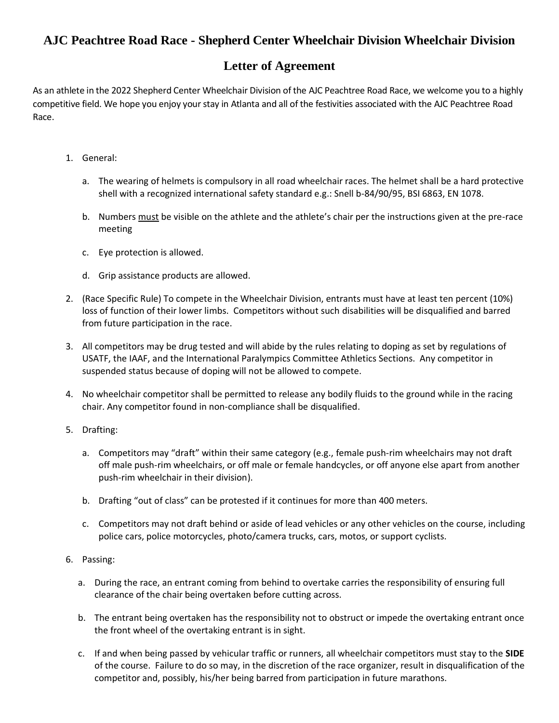## **AJC Peachtree Road Race - Shepherd Center Wheelchair Division Wheelchair Division**

## **Letter of Agreement**

As an athlete in the 2022 Shepherd Center Wheelchair Division of the AJC Peachtree Road Race, we welcome you to a highly competitive field. We hope you enjoy your stay in Atlanta and all of the festivities associated with the AJC Peachtree Road Race.

- 1. General:
	- a. The wearing of helmets is compulsory in all road wheelchair races. The helmet shall be a hard protective shell with a recognized international safety standard e.g.: Snell b-84/90/95, BSI 6863, EN 1078.
	- b. Numbers must be visible on the athlete and the athlete's chair per the instructions given at the pre-race meeting
	- c. Eye protection is allowed.
	- d. Grip assistance products are allowed.
- 2. (Race Specific Rule) To compete in the Wheelchair Division, entrants must have at least ten percent (10%) loss of function of their lower limbs. Competitors without such disabilities will be disqualified and barred from future participation in the race.
- 3. All competitors may be drug tested and will abide by the rules relating to doping as set by regulations of USATF, the IAAF, and the International Paralympics Committee Athletics Sections. Any competitor in suspended status because of doping will not be allowed to compete.
- 4. No wheelchair competitor shall be permitted to release any bodily fluids to the ground while in the racing chair. Any competitor found in non-compliance shall be disqualified.
- 5. Drafting:
	- a. Competitors may "draft" within their same category (e.g., female push-rim wheelchairs may not draft off male push-rim wheelchairs, or off male or female handcycles, or off anyone else apart from another push-rim wheelchair in their division).
	- b. Drafting "out of class" can be protested if it continues for more than 400 meters.
	- c. Competitors may not draft behind or aside of lead vehicles or any other vehicles on the course, including police cars, police motorcycles, photo/camera trucks, cars, motos, or support cyclists.
- 6. Passing:
	- a. During the race, an entrant coming from behind to overtake carries the responsibility of ensuring full clearance of the chair being overtaken before cutting across.
	- b. The entrant being overtaken has the responsibility not to obstruct or impede the overtaking entrant once the front wheel of the overtaking entrant is in sight.
	- c. If and when being passed by vehicular traffic or runners, all wheelchair competitors must stay to the **SIDE** of the course. Failure to do so may, in the discretion of the race organizer, result in disqualification of the competitor and, possibly, his/her being barred from participation in future marathons.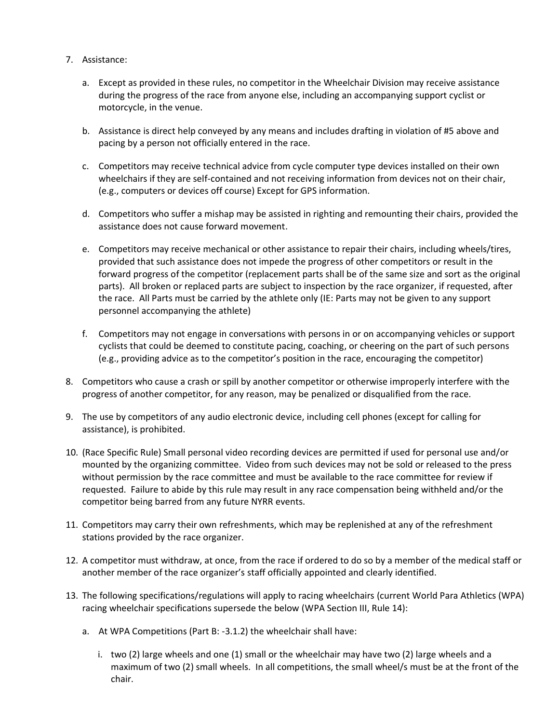- 7. Assistance:
	- a. Except as provided in these rules, no competitor in the Wheelchair Division may receive assistance during the progress of the race from anyone else, including an accompanying support cyclist or motorcycle, in the venue.
	- b. Assistance is direct help conveyed by any means and includes drafting in violation of #5 above and pacing by a person not officially entered in the race.
	- c. Competitors may receive technical advice from cycle computer type devices installed on their own wheelchairs if they are self-contained and not receiving information from devices not on their chair, (e.g., computers or devices off course) Except for GPS information.
	- d. Competitors who suffer a mishap may be assisted in righting and remounting their chairs, provided the assistance does not cause forward movement.
	- e. Competitors may receive mechanical or other assistance to repair their chairs, including wheels/tires, provided that such assistance does not impede the progress of other competitors or result in the forward progress of the competitor (replacement parts shall be of the same size and sort as the original parts). All broken or replaced parts are subject to inspection by the race organizer, if requested, after the race. All Parts must be carried by the athlete only (IE: Parts may not be given to any support personnel accompanying the athlete)
	- f. Competitors may not engage in conversations with persons in or on accompanying vehicles or support cyclists that could be deemed to constitute pacing, coaching, or cheering on the part of such persons (e.g., providing advice as to the competitor's position in the race, encouraging the competitor)
- 8. Competitors who cause a crash or spill by another competitor or otherwise improperly interfere with the progress of another competitor, for any reason, may be penalized or disqualified from the race.
- 9. The use by competitors of any audio electronic device, including cell phones (except for calling for assistance), is prohibited.
- 10. (Race Specific Rule) Small personal video recording devices are permitted if used for personal use and/or mounted by the organizing committee. Video from such devices may not be sold or released to the press without permission by the race committee and must be available to the race committee for review if requested. Failure to abide by this rule may result in any race compensation being withheld and/or the competitor being barred from any future NYRR events.
- 11. Competitors may carry their own refreshments, which may be replenished at any of the refreshment stations provided by the race organizer.
- 12. A competitor must withdraw, at once, from the race if ordered to do so by a member of the medical staff or another member of the race organizer's staff officially appointed and clearly identified.
- 13. The following specifications/regulations will apply to racing wheelchairs (current World Para Athletics (WPA) racing wheelchair specifications supersede the below (WPA Section III, Rule 14):
	- a. At WPA Competitions (Part B: -3.1.2) the wheelchair shall have:
		- i. two (2) large wheels and one (1) small or the wheelchair may have two (2) large wheels and a maximum of two (2) small wheels. In all competitions, the small wheel/s must be at the front of the chair.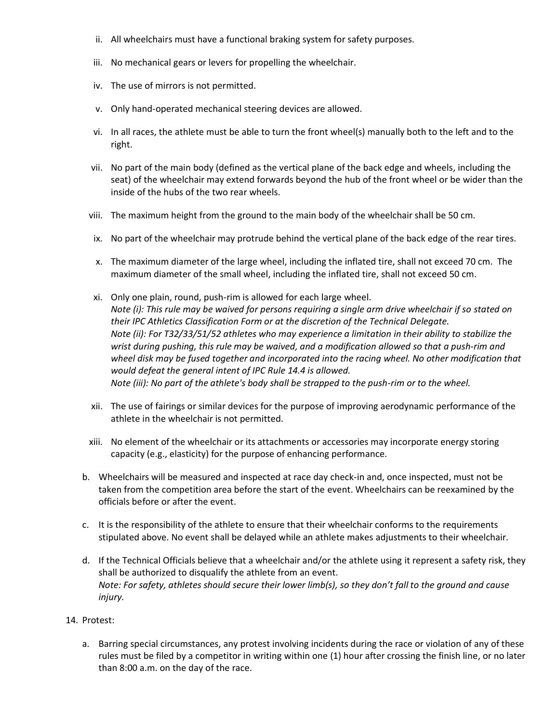- ii. All wheelchairs must have a functional braking system for safety purposes.
- iii. No mechanical gears or levers for propelling the wheelchair.
- iv. The use of mirrors is not permitted.
- v. Only hand-operated mechanical steering devices are allowed.
- vi. In all races, the athlete must be able to turn the front wheel(s) manually both to the left and to the right.
- vii. No part of the main body (defined as the vertical plane of the back edge and wheels, including the seat) of the wheelchair may extend forwards beyond the hub of the front wheel or be wider than the inside of the hubs of the two rear wheels.
- viii. The maximum height from the ground to the main body of the wheelchair shall be 50 cm.
- ix. No part of the wheelchair may protrude behind the vertical plane of the back edge of the rear tires.
- x. The maximum diameter of the large wheel, including the inflated tire, shall not exceed 70 cm. The maximum diameter of the small wheel, including the inflated tire, shall not exceed 50 cm.
- xi. Only one plain, round, push-rim is allowed for each large wheel. *Note (i): This rule may be waived for persons requiring a single arm drive wheelchair if so stated on their IPC Athletics Classification Form or at the discretion of the Technical Delegate. Note (ii): For T32/33/51/52 athletes who may experience a limitation in their ability to stabilize the wrist during pushing, this rule may be waived, and a modification allowed so that a push-rim and wheel disk may be fused together and incorporated into the racing wheel. No other modification that would defeat the general intent of IPC Rule 14.4 is allowed. Note (iii): No part of the athlete's body shall be strapped to the push-rim or to the wheel.*
- xii. The use of fairings or similar devices for the purpose of improving aerodynamic performance of the athlete in the wheelchair is not permitted.
- xiii. No element of the wheelchair or its attachments or accessories may incorporate energy storing capacity (e.g., elasticity) for the purpose of enhancing performance.
- b. Wheelchairs will be measured and inspected at race day check-in and, once inspected, must not be taken from the competition area before the start of the event. Wheelchairs can be reexamined by the officials before or after the event.
- c. It is the responsibility of the athlete to ensure that their wheelchair conforms to the requirements stipulated above. No event shall be delayed while an athlete makes adjustments to their wheelchair.
- d. If the Technical Officials believe that a wheelchair and/or the athlete using it represent a safety risk, they shall be authorized to disqualify the athlete from an event. *Note: For safety, athletes should secure their lower limb(s), so they don't fall to the ground and cause injury.*
- 14. Protest:
	- a. Barring special circumstances, any protest involving incidents during the race or violation of any of these rules must be filed by a competitor in writing within one (1) hour after crossing the finish line, or no later than 8:00 a.m. on the day of the race.